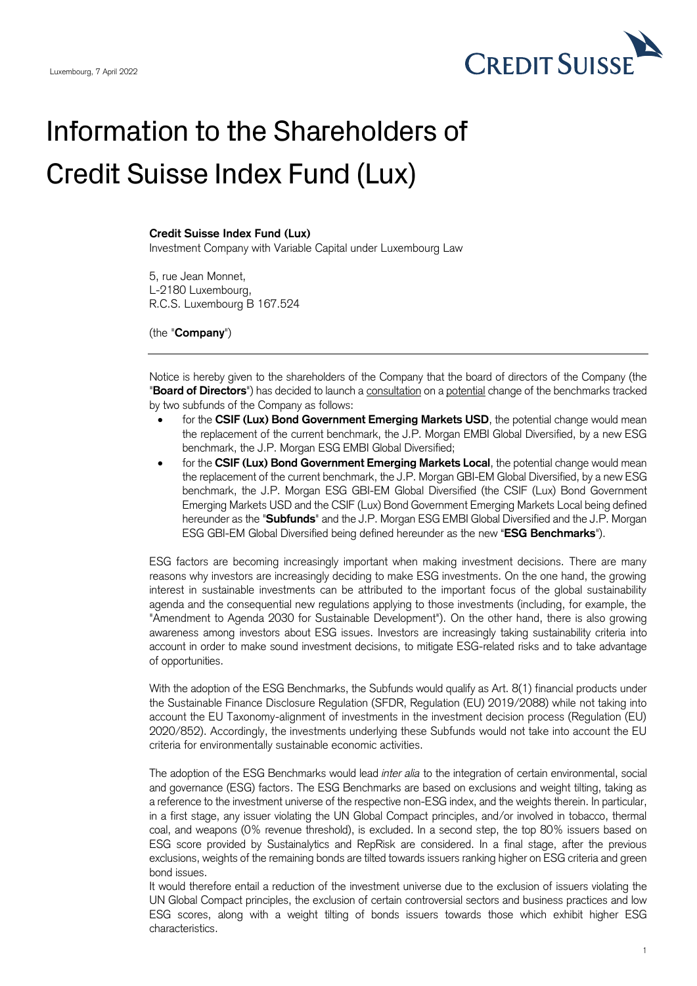

## Information to the Shareholders of Credit Suisse Index Fund (Lux)

## **Credit Suisse Index Fund (Lux)**

Investment Company with Variable Capital under Luxembourg Law

5, rue Jean Monnet, L-2180 Luxembourg, R.C.S. Luxembourg B 167.524

(the "**Company**")

Notice is hereby given to the shareholders of the Company that the board of directors of the Company (the "**Board of Directors**") has decided to launch a consultation on a potential change of the benchmarks tracked by two subfunds of the Company as follows:

- for the CSIF (Lux) Bond Government Emerging Markets USD, the potential change would mean the replacement of the current benchmark, the J.P. Morgan EMBI Global Diversified, by a new ESG benchmark, the J.P. Morgan ESG EMBI Global Diversified;
- for the **CSIF (Lux) Bond Government Emerging Markets Local**, the potential change would mean the replacement of the current benchmark, the J.P. Morgan GBI-EM Global Diversified, by a new ESG benchmark, the J.P. Morgan ESG GBI-EM Global Diversified (the CSIF (Lux) Bond Government Emerging Markets USD and the CSIF (Lux) Bond Government Emerging Markets Local being defined hereunder as the "**Subfunds**" and the J.P. Morgan ESG EMBI Global Diversified and the J.P. Morgan ESG GBI-EM Global Diversified being defined hereunder as the new "**ESG Benchmarks**").

ESG factors are becoming increasingly important when making investment decisions. There are many reasons why investors are increasingly deciding to make ESG investments. On the one hand, the growing interest in sustainable investments can be attributed to the important focus of the global sustainability agenda and the consequential new regulations applying to those investments (including, for example, the "Amendment to Agenda 2030 for Sustainable Development"). On the other hand, there is also growing awareness among investors about ESG issues. Investors are increasingly taking sustainability criteria into account in order to make sound investment decisions, to mitigate ESG-related risks and to take advantage of opportunities.

With the adoption of the ESG Benchmarks, the Subfunds would qualify as Art. 8(1) financial products under the Sustainable Finance Disclosure Regulation (SFDR, Regulation (EU) 2019/2088) while not taking into account the EU Taxonomy-alignment of investments in the investment decision process (Regulation (EU) 2020/852). Accordingly, the investments underlying these Subfunds would not take into account the EU criteria for environmentally sustainable economic activities.

The adoption of the ESG Benchmarks would lead *inter alia* to the integration of certain environmental, social and governance (ESG) factors. The ESG Benchmarks are based on exclusions and weight tilting, taking as a reference to the investment universe of the respective non-ESG index, and the weights therein. In particular, in a first stage, any issuer violating the UN Global Compact principles, and/or involved in tobacco, thermal coal, and weapons (0% revenue threshold), is excluded. In a second step, the top 80% issuers based on ESG score provided by Sustainalytics and RepRisk are considered. In a final stage, after the previous exclusions, weights of the remaining bonds are tilted towards issuers ranking higher on ESG criteria and green bond issues.

It would therefore entail a reduction of the investment universe due to the exclusion of issuers violating the UN Global Compact principles, the exclusion of certain controversial sectors and business practices and low ESG scores, along with a weight tilting of bonds issuers towards those which exhibit higher ESG characteristics.